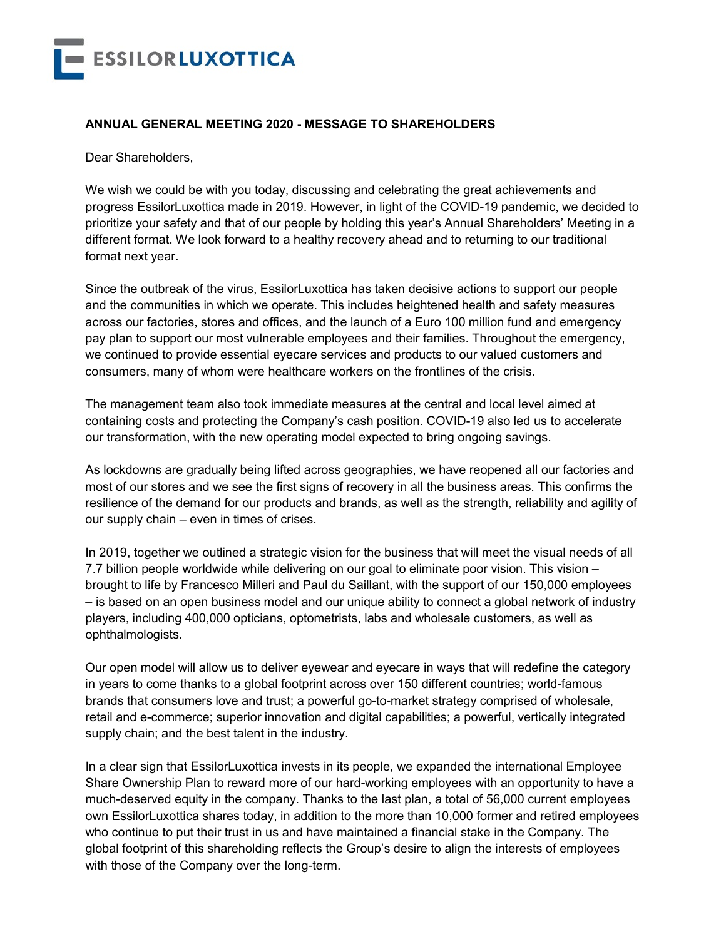

## **ANNUAL GENERAL MEETING 2020 - MESSAGE TO SHAREHOLDERS**

Dear Shareholders,

We wish we could be with you today, discussing and celebrating the great achievements and progress EssilorLuxottica made in 2019. However, in light of the COVID-19 pandemic, we decided to prioritize your safety and that of our people by holding this year's Annual Shareholders' Meeting in a different format. We look forward to a healthy recovery ahead and to returning to our traditional format next year.

Since the outbreak of the virus, EssilorLuxottica has taken decisive actions to support our people and the communities in which we operate. This includes heightened health and safety measures across our factories, stores and offices, and the launch of a Euro 100 million fund and emergency pay plan to support our most vulnerable employees and their families. Throughout the emergency, we continued to provide essential eyecare services and products to our valued customers and consumers, many of whom were healthcare workers on the frontlines of the crisis.

The management team also took immediate measures at the central and local level aimed at containing costs and protecting the Company's cash position. COVID-19 also led us to accelerate our transformation, with the new operating model expected to bring ongoing savings.

As lockdowns are gradually being lifted across geographies, we have reopened all our factories and most of our stores and we see the first signs of recovery in all the business areas. This confirms the resilience of the demand for our products and brands, as well as the strength, reliability and agility of our supply chain – even in times of crises.

In 2019, together we outlined a strategic vision for the business that will meet the visual needs of all 7.7 billion people worldwide while delivering on our goal to eliminate poor vision. This vision – brought to life by Francesco Milleri and Paul du Saillant, with the support of our 150,000 employees – is based on an open business model and our unique ability to connect a global network of industry players, including 400,000 opticians, optometrists, labs and wholesale customers, as well as ophthalmologists.

Our open model will allow us to deliver eyewear and eyecare in ways that will redefine the category in years to come thanks to a global footprint across over 150 different countries; world-famous brands that consumers love and trust; a powerful go-to-market strategy comprised of wholesale, retail and e-commerce; superior innovation and digital capabilities; a powerful, vertically integrated supply chain; and the best talent in the industry.

In a clear sign that EssilorLuxottica invests in its people, we expanded the international Employee Share Ownership Plan to reward more of our hard-working employees with an opportunity to have a much-deserved equity in the company. Thanks to the last plan, a total of 56,000 current employees own EssilorLuxottica shares today, in addition to the more than 10,000 former and retired employees who continue to put their trust in us and have maintained a financial stake in the Company. The global footprint of this shareholding reflects the Group's desire to align the interests of employees with those of the Company over the long-term.